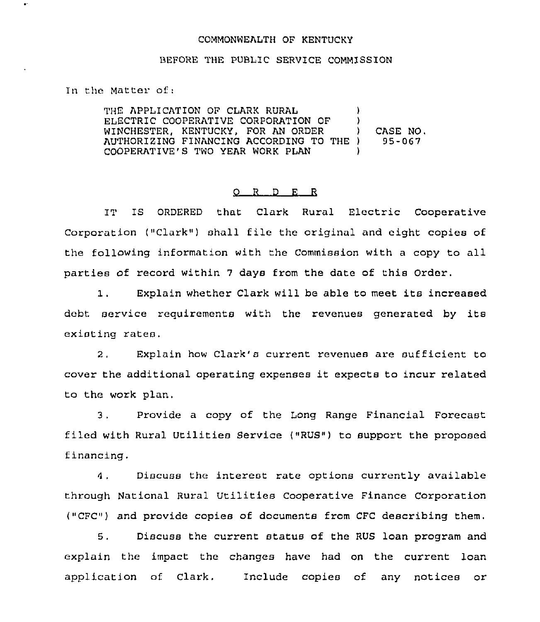## COMMONWEALTH OF KENTUCKY

## BEFORE THE PUBLIC SERVICE COMMISSION

In the Matter of:

 $\bullet^{\star}$ 

THE APPLICATION OF CLARK RURAL ELECTRIC COOPERATIVE CORPORATION OF WINCHESTER, KENTUCKY, FOR AN ORDER AUTHORIZING FINANCING ACCORDING TO THE COOPERATIVE'S TWO YEAR WORK PLAN ) ) ) CASE NO. ) 95-057 )

## 0 <sup>R</sup> <sup>D</sup> F. <sup>R</sup>

IT IS ORDERED that Clark Rural Electric Cooperative Corporation ("Clark") shall file the original and eight copies of the following information with the Commission with a copy to all parties of record within <sup>7</sup> days from the date of this Order.

Explain whether Clark will be able to meet its increased  $1.$ debt service requirements with the revenues generated by its existing rates.

2, Explain how Clark's current revenues are sufficient to cover the additional operating expenses it expects to incur related to the work plan.

3. Provide a copy of the Long Range Financial Forecast filed with Rural Utilities Service ("RUS") to support the proposed financing.

Discuss the interest rate options currently available  $4.$ through National Rural Utilities Cooperative Finance Corporation ("CFC") and provide copies of documents from CFC describing them.

5. Discuss the current status of the RUS loan program and explain the impact the changes have had on the current loan application of Clark. Include copies of any notices or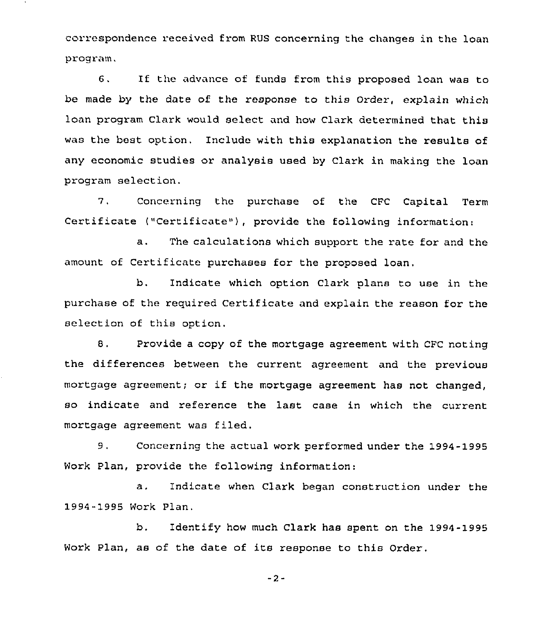correspondence received from RUS concerning the changes in the loan program.

6. If the advance of funds from this proposed loan was to be made by the date of the response to this Order, explain which loan program Clark would select and how Clark determined that this was the best option. Include with this explanation the results of any economic studies or analysis used by Clark in making the loan program selection.

7, Concerning the purchase of the CFC Capital Term Certificate ("Certificate"), provide the following information:

a. The calculations which support the rate for and the amount of Certificate purchases for the proposed loan.

b, Indicate which option Clark plans to use in the purchase of the required Certificate and explain the reason for the selection of this option.

8. Provide a copy of the mortgage agreement with CFC noting the differences between the current agreement and the previous mortgage agreement; or if the mortgage agreement has not changed, so indicate and reference the last case in which the current mortgage agreement was filed.

9. Concerning the actual work performed under the 1994-1995 Work Plan, provide the following information:

a. Indicate when Clark began construction under the 1994-1995 Work Plan.

b. Identify how much Clark has spent on the 1994-1995 Work Plan, as of the date of its response to this Order.

-2-